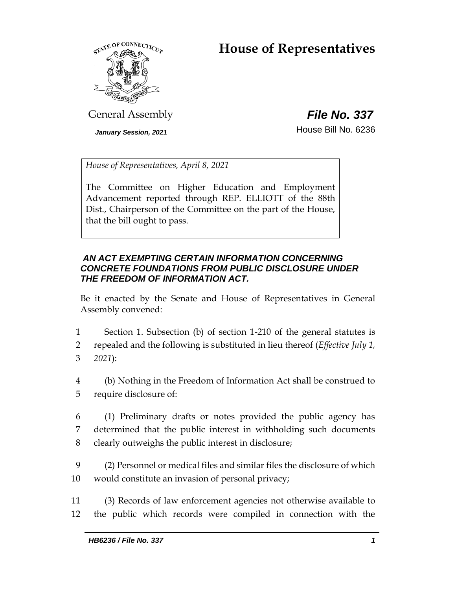# **House of Representatives**



General Assembly *File No. 337*

*January Session, 2021* **House Bill No. 6236** 

*House of Representatives, April 8, 2021*

The Committee on Higher Education and Employment Advancement reported through REP. ELLIOTT of the 88th Dist., Chairperson of the Committee on the part of the House, that the bill ought to pass.

# *AN ACT EXEMPTING CERTAIN INFORMATION CONCERNING CONCRETE FOUNDATIONS FROM PUBLIC DISCLOSURE UNDER THE FREEDOM OF INFORMATION ACT.*

Be it enacted by the Senate and House of Representatives in General Assembly convened:

1 Section 1. Subsection (b) of section 1-210 of the general statutes is

2 repealed and the following is substituted in lieu thereof (*Effective July 1,*  3 *2021*):

- 4 (b) Nothing in the Freedom of Information Act shall be construed to 5 require disclosure of:
- 6 (1) Preliminary drafts or notes provided the public agency has 7 determined that the public interest in withholding such documents 8 clearly outweighs the public interest in disclosure;
- 9 (2) Personnel or medical files and similar files the disclosure of which 10 would constitute an invasion of personal privacy;
- 11 (3) Records of law enforcement agencies not otherwise available to 12 the public which records were compiled in connection with the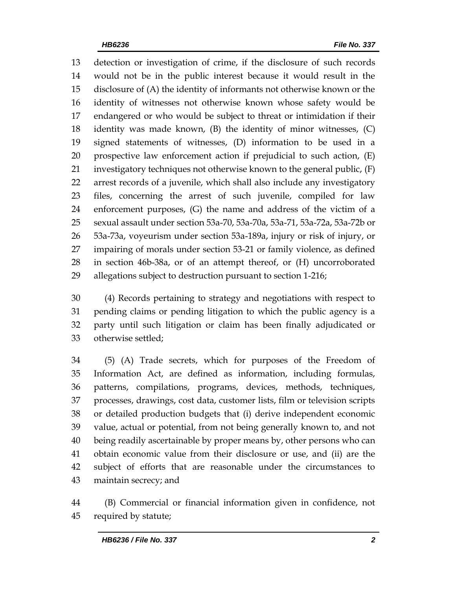detection or investigation of crime, if the disclosure of such records would not be in the public interest because it would result in the disclosure of (A) the identity of informants not otherwise known or the identity of witnesses not otherwise known whose safety would be endangered or who would be subject to threat or intimidation if their identity was made known, (B) the identity of minor witnesses, (C) signed statements of witnesses, (D) information to be used in a prospective law enforcement action if prejudicial to such action, (E) investigatory techniques not otherwise known to the general public, (F) arrest records of a juvenile, which shall also include any investigatory files, concerning the arrest of such juvenile, compiled for law enforcement purposes, (G) the name and address of the victim of a sexual assault under section 53a-70, 53a-70a, 53a-71, 53a-72a, 53a-72b or 53a-73a, voyeurism under section 53a-189a, injury or risk of injury, or impairing of morals under section 53-21 or family violence, as defined in section 46b-38a, or of an attempt thereof, or (H) uncorroborated allegations subject to destruction pursuant to section 1-216;

 (4) Records pertaining to strategy and negotiations with respect to pending claims or pending litigation to which the public agency is a party until such litigation or claim has been finally adjudicated or otherwise settled;

 (5) (A) Trade secrets, which for purposes of the Freedom of Information Act, are defined as information, including formulas, patterns, compilations, programs, devices, methods, techniques, processes, drawings, cost data, customer lists, film or television scripts or detailed production budgets that (i) derive independent economic value, actual or potential, from not being generally known to, and not being readily ascertainable by proper means by, other persons who can obtain economic value from their disclosure or use, and (ii) are the subject of efforts that are reasonable under the circumstances to maintain secrecy; and

 (B) Commercial or financial information given in confidence, not required by statute;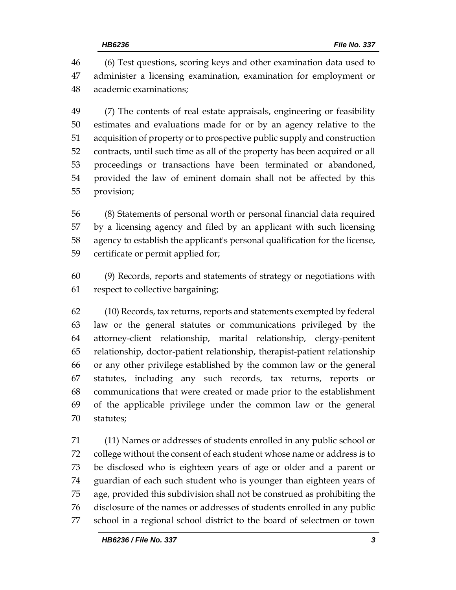(6) Test questions, scoring keys and other examination data used to administer a licensing examination, examination for employment or academic examinations;

 (7) The contents of real estate appraisals, engineering or feasibility estimates and evaluations made for or by an agency relative to the acquisition of property or to prospective public supply and construction contracts, until such time as all of the property has been acquired or all proceedings or transactions have been terminated or abandoned, provided the law of eminent domain shall not be affected by this provision;

 (8) Statements of personal worth or personal financial data required by a licensing agency and filed by an applicant with such licensing agency to establish the applicant's personal qualification for the license, certificate or permit applied for;

 (9) Records, reports and statements of strategy or negotiations with respect to collective bargaining;

 (10) Records, tax returns, reports and statements exempted by federal law or the general statutes or communications privileged by the attorney-client relationship, marital relationship, clergy-penitent relationship, doctor-patient relationship, therapist-patient relationship or any other privilege established by the common law or the general statutes, including any such records, tax returns, reports or communications that were created or made prior to the establishment of the applicable privilege under the common law or the general statutes;

 (11) Names or addresses of students enrolled in any public school or college without the consent of each student whose name or address is to be disclosed who is eighteen years of age or older and a parent or guardian of each such student who is younger than eighteen years of age, provided this subdivision shall not be construed as prohibiting the disclosure of the names or addresses of students enrolled in any public school in a regional school district to the board of selectmen or town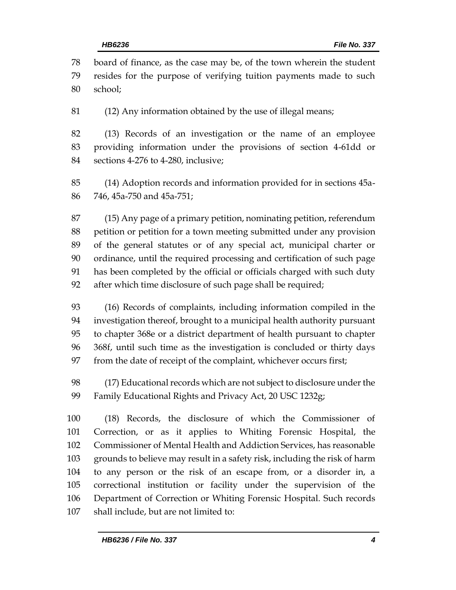board of finance, as the case may be, of the town wherein the student resides for the purpose of verifying tuition payments made to such school;

(12) Any information obtained by the use of illegal means;

 (13) Records of an investigation or the name of an employee providing information under the provisions of section 4-61dd or sections 4-276 to 4-280, inclusive;

 (14) Adoption records and information provided for in sections 45a-746, 45a-750 and 45a-751;

 (15) Any page of a primary petition, nominating petition, referendum petition or petition for a town meeting submitted under any provision of the general statutes or of any special act, municipal charter or ordinance, until the required processing and certification of such page has been completed by the official or officials charged with such duty after which time disclosure of such page shall be required;

 (16) Records of complaints, including information compiled in the investigation thereof, brought to a municipal health authority pursuant to chapter 368e or a district department of health pursuant to chapter 368f, until such time as the investigation is concluded or thirty days from the date of receipt of the complaint, whichever occurs first;

 (17) Educational records which are not subject to disclosure under the Family Educational Rights and Privacy Act, 20 USC 1232g;

 (18) Records, the disclosure of which the Commissioner of Correction, or as it applies to Whiting Forensic Hospital, the Commissioner of Mental Health and Addiction Services, has reasonable grounds to believe may result in a safety risk, including the risk of harm to any person or the risk of an escape from, or a disorder in, a correctional institution or facility under the supervision of the Department of Correction or Whiting Forensic Hospital. Such records shall include, but are not limited to: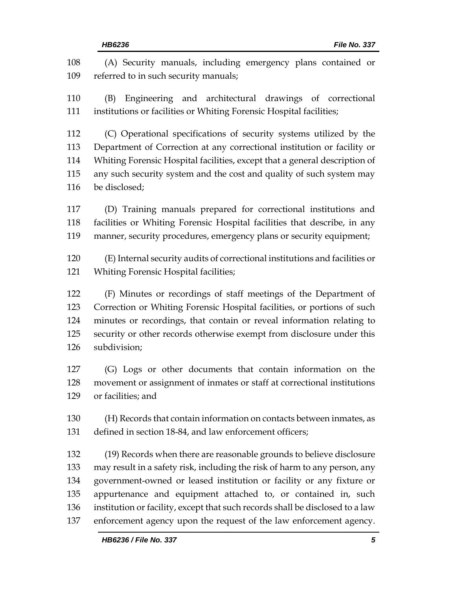(A) Security manuals, including emergency plans contained or referred to in such security manuals; (B) Engineering and architectural drawings of correctional institutions or facilities or Whiting Forensic Hospital facilities; (C) Operational specifications of security systems utilized by the Department of Correction at any correctional institution or facility or Whiting Forensic Hospital facilities, except that a general description of any such security system and the cost and quality of such system may be disclosed; (D) Training manuals prepared for correctional institutions and facilities or Whiting Forensic Hospital facilities that describe, in any manner, security procedures, emergency plans or security equipment; (E) Internal security audits of correctional institutions and facilities or Whiting Forensic Hospital facilities; (F) Minutes or recordings of staff meetings of the Department of Correction or Whiting Forensic Hospital facilities, or portions of such minutes or recordings, that contain or reveal information relating to security or other records otherwise exempt from disclosure under this subdivision; (G) Logs or other documents that contain information on the movement or assignment of inmates or staff at correctional institutions or facilities; and (H) Records that contain information on contacts between inmates, as defined in section 18-84, and law enforcement officers; (19) Records when there are reasonable grounds to believe disclosure may result in a safety risk, including the risk of harm to any person, any government-owned or leased institution or facility or any fixture or appurtenance and equipment attached to, or contained in, such institution or facility, except that such records shall be disclosed to a law enforcement agency upon the request of the law enforcement agency.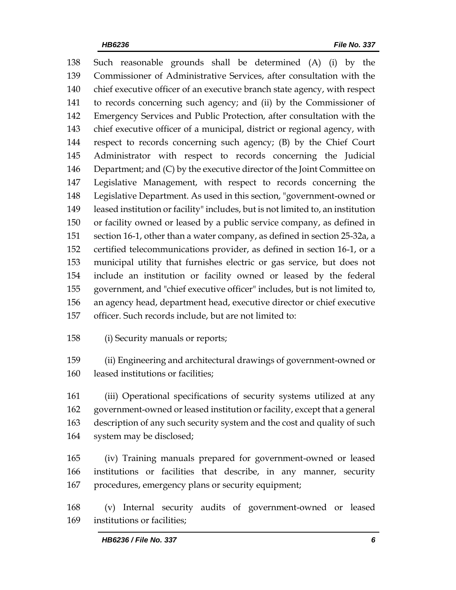Such reasonable grounds shall be determined (A) (i) by the Commissioner of Administrative Services, after consultation with the chief executive officer of an executive branch state agency, with respect to records concerning such agency; and (ii) by the Commissioner of Emergency Services and Public Protection, after consultation with the chief executive officer of a municipal, district or regional agency, with respect to records concerning such agency; (B) by the Chief Court Administrator with respect to records concerning the Judicial Department; and (C) by the executive director of the Joint Committee on Legislative Management, with respect to records concerning the Legislative Department. As used in this section, "government-owned or leased institution or facility" includes, but is not limited to, an institution or facility owned or leased by a public service company, as defined in section 16-1, other than a water company, as defined in section 25-32a, a certified telecommunications provider, as defined in section 16-1, or a municipal utility that furnishes electric or gas service, but does not include an institution or facility owned or leased by the federal government, and "chief executive officer" includes, but is not limited to, an agency head, department head, executive director or chief executive officer. Such records include, but are not limited to:

(i) Security manuals or reports;

 (ii) Engineering and architectural drawings of government-owned or leased institutions or facilities;

 (iii) Operational specifications of security systems utilized at any government-owned or leased institution or facility, except that a general description of any such security system and the cost and quality of such system may be disclosed;

 (iv) Training manuals prepared for government-owned or leased institutions or facilities that describe, in any manner, security procedures, emergency plans or security equipment;

 (v) Internal security audits of government-owned or leased institutions or facilities;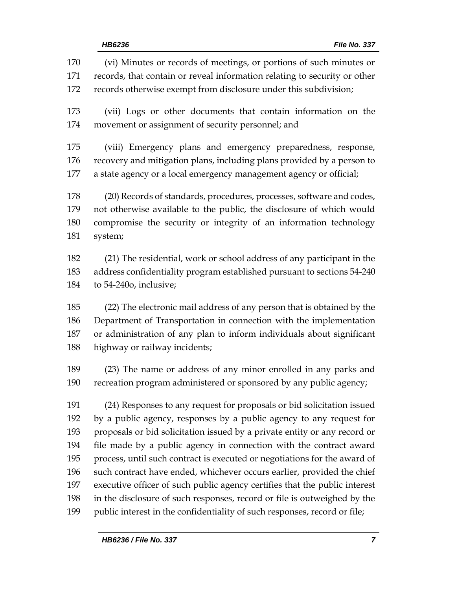(vi) Minutes or records of meetings, or portions of such minutes or records, that contain or reveal information relating to security or other records otherwise exempt from disclosure under this subdivision; (vii) Logs or other documents that contain information on the movement or assignment of security personnel; and (viii) Emergency plans and emergency preparedness, response, recovery and mitigation plans, including plans provided by a person to a state agency or a local emergency management agency or official; (20) Records of standards, procedures, processes, software and codes, not otherwise available to the public, the disclosure of which would compromise the security or integrity of an information technology system; (21) The residential, work or school address of any participant in the address confidentiality program established pursuant to sections 54-240 to 54-240o, inclusive; (22) The electronic mail address of any person that is obtained by the Department of Transportation in connection with the implementation or administration of any plan to inform individuals about significant highway or railway incidents; (23) The name or address of any minor enrolled in any parks and recreation program administered or sponsored by any public agency; (24) Responses to any request for proposals or bid solicitation issued by a public agency, responses by a public agency to any request for proposals or bid solicitation issued by a private entity or any record or file made by a public agency in connection with the contract award process, until such contract is executed or negotiations for the award of such contract have ended, whichever occurs earlier, provided the chief executive officer of such public agency certifies that the public interest in the disclosure of such responses, record or file is outweighed by the public interest in the confidentiality of such responses, record or file;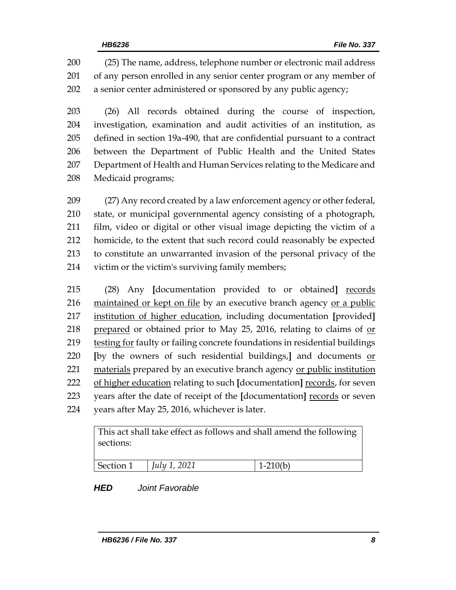(25) The name, address, telephone number or electronic mail address of any person enrolled in any senior center program or any member of a senior center administered or sponsored by any public agency;

 (26) All records obtained during the course of inspection, investigation, examination and audit activities of an institution, as defined in section 19a-490, that are confidential pursuant to a contract between the Department of Public Health and the United States Department of Health and Human Services relating to the Medicare and Medicaid programs;

 (27) Any record created by a law enforcement agency or other federal, state, or municipal governmental agency consisting of a photograph, film, video or digital or other visual image depicting the victim of a homicide, to the extent that such record could reasonably be expected to constitute an unwarranted invasion of the personal privacy of the victim or the victim's surviving family members;

 (28) Any **[**documentation provided to or obtained**]** records maintained or kept on file by an executive branch agency or a public institution of higher education, including documentation **[**provided**]** prepared or obtained prior to May 25, 2016, relating to claims of or 219 testing for faulty or failing concrete foundations in residential buildings **[**by the owners of such residential buildings,**]** and documents or materials prepared by an executive branch agency or public institution of higher education relating to such **[**documentation**]** records, for seven years after the date of receipt of the **[**documentation**]** records or seven years after May 25, 2016, whichever is later.

> This act shall take effect as follows and shall amend the following sections:

| $C_{\alpha}$ <sup>1</sup><br>ാല~ | 2021<br><u>L.L.</u><br>uw | $\bigcap$ $\bigcap$ |
|----------------------------------|---------------------------|---------------------|
|                                  |                           |                     |

*HED Joint Favorable*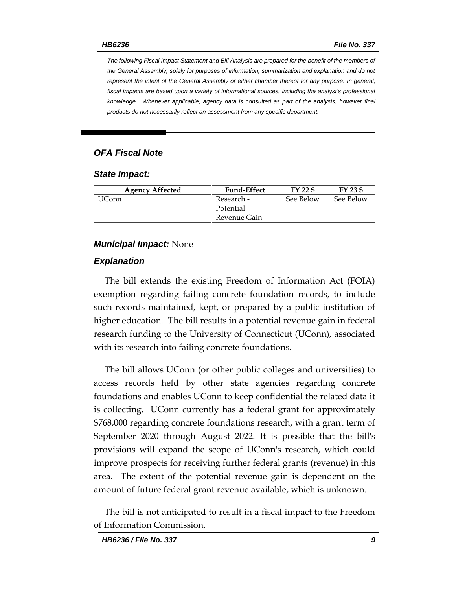*The following Fiscal Impact Statement and Bill Analysis are prepared for the benefit of the members of the General Assembly, solely for purposes of information, summarization and explanation and do not represent the intent of the General Assembly or either chamber thereof for any purpose. In general,*  fiscal impacts are based upon a variety of informational sources, including the analyst's professional *knowledge. Whenever applicable, agency data is consulted as part of the analysis, however final products do not necessarily reflect an assessment from any specific department.*

## *OFA Fiscal Note*

#### *State Impact:*

| <b>Agency Affected</b> | <b>Fund-Effect</b> | FY 22 \$  | FY 23 \$  |
|------------------------|--------------------|-----------|-----------|
| Conn                   | Research -         | See Below | See Below |
|                        | Potential          |           |           |
|                        | Revenue Gain       |           |           |

### *Municipal Impact:* None

### *Explanation*

The bill extends the existing Freedom of Information Act (FOIA) exemption regarding failing concrete foundation records, to include such records maintained, kept, or prepared by a public institution of higher education. The bill results in a potential revenue gain in federal research funding to the University of Connecticut (UConn), associated with its research into failing concrete foundations.

The bill allows UConn (or other public colleges and universities) to access records held by other state agencies regarding concrete foundations and enables UConn to keep confidential the related data it is collecting. UConn currently has a federal grant for approximately \$768,000 regarding concrete foundations research, with a grant term of September 2020 through August 2022. It is possible that the bill's provisions will expand the scope of UConn's research, which could improve prospects for receiving further federal grants (revenue) in this area. The extent of the potential revenue gain is dependent on the amount of future federal grant revenue available, which is unknown.

The bill is not anticipated to result in a fiscal impact to the Freedom of Information Commission.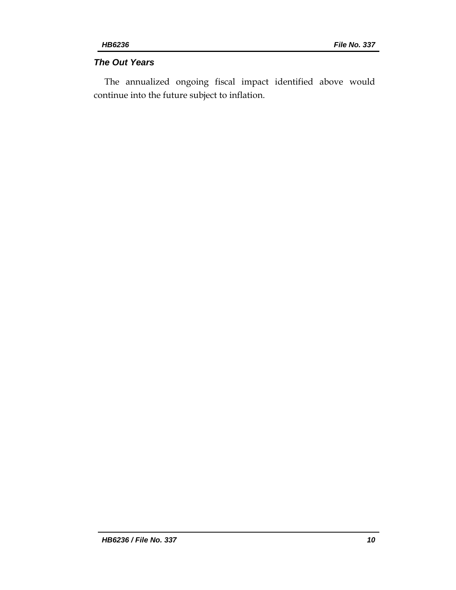# *The Out Years*

The annualized ongoing fiscal impact identified above would continue into the future subject to inflation.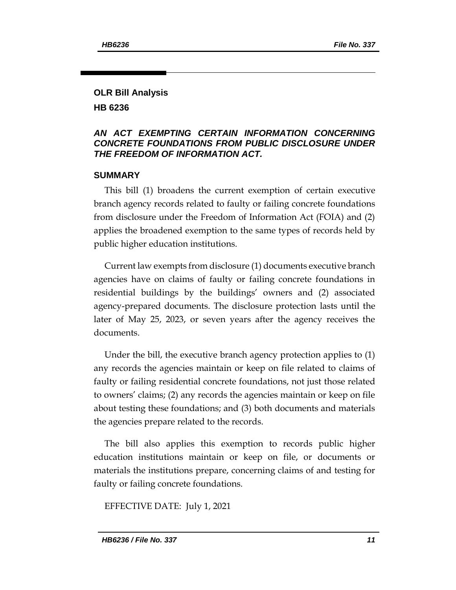# **OLR Bill Analysis HB 6236**

# *AN ACT EXEMPTING CERTAIN INFORMATION CONCERNING CONCRETE FOUNDATIONS FROM PUBLIC DISCLOSURE UNDER THE FREEDOM OF INFORMATION ACT.*

# **SUMMARY**

This bill (1) broadens the current exemption of certain executive branch agency records related to faulty or failing concrete foundations from disclosure under the Freedom of Information Act (FOIA) and (2) applies the broadened exemption to the same types of records held by public higher education institutions.

Current law exempts from disclosure (1) documents executive branch agencies have on claims of faulty or failing concrete foundations in residential buildings by the buildings' owners and (2) associated agency-prepared documents. The disclosure protection lasts until the later of May 25, 2023, or seven years after the agency receives the documents.

Under the bill, the executive branch agency protection applies to (1) any records the agencies maintain or keep on file related to claims of faulty or failing residential concrete foundations, not just those related to owners' claims; (2) any records the agencies maintain or keep on file about testing these foundations; and (3) both documents and materials the agencies prepare related to the records.

The bill also applies this exemption to records public higher education institutions maintain or keep on file, or documents or materials the institutions prepare, concerning claims of and testing for faulty or failing concrete foundations.

EFFECTIVE DATE: July 1, 2021